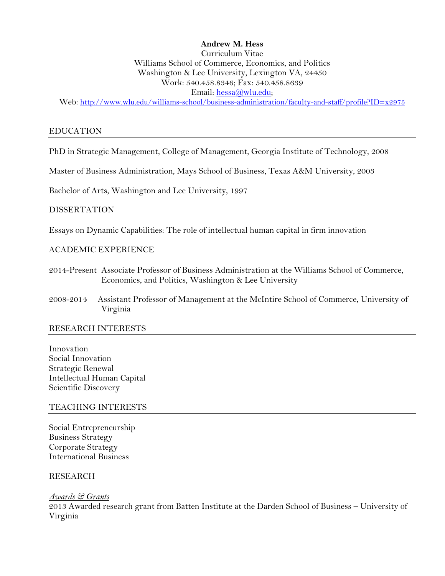### **Andrew M. Hess**

# Curriculum Vitae Williams School of Commerce, Economics, and Politics Washington & Lee University, Lexington VA, 24450 Work: 540.458.8346; Fax: 540.458.8639 Email: hessa@wlu.edu;

Web: http://www.wlu.edu/williams-school/business-administration/faculty-and-staff/profile?ID=x2975

#### EDUCATION

PhD in Strategic Management, College of Management, Georgia Institute of Technology, 2008

Master of Business Administration, Mays School of Business, Texas A&M University, 2003

Bachelor of Arts, Washington and Lee University, 1997

#### DISSERTATION

Essays on Dynamic Capabilities: The role of intellectual human capital in firm innovation

#### ACADEMIC EXPERIENCE

- 2014-Present Associate Professor of Business Administration at the Williams School of Commerce, Economics, and Politics, Washington & Lee University
- 2008-2014 Assistant Professor of Management at the McIntire School of Commerce, University of Virginia

#### RESEARCH INTERESTS

Innovation Social Innovation Strategic Renewal Intellectual Human Capital Scientific Discovery

#### TEACHING INTERESTS

Social Entrepreneurship Business Strategy Corporate Strategy International Business

#### RESEARCH

*Awards & Grants*

2013 Awarded research grant from Batten Institute at the Darden School of Business – University of Virginia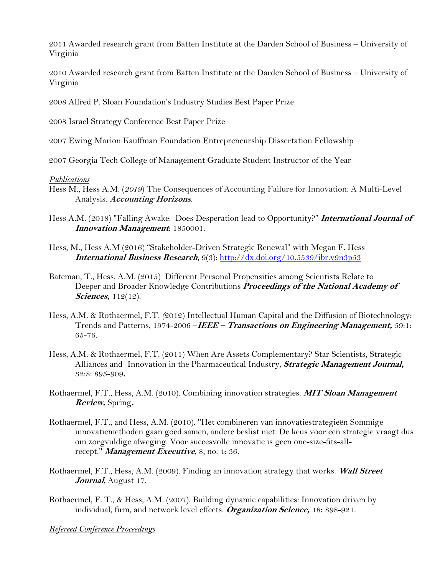2011 Awarded research grant from Batten Institute at the Darden School of Business – University of Virginia

2010 Awarded research grant from Batten Institute at the Darden School of Business – University of Virginia

2008 Alfred P. Sloan Foundation's Industry Studies Best Paper Prize

2008 Israel Strategy Conference Best Paper Prize

2007 Ewing Marion Kauffman Foundation Entrepreneurship Dissertation Fellowship

2007 Georgia Tech College of Management Graduate Student Instructor of the Year

### *Publications*

- Hess M., Hess A.M. (*2019*) The Consequences of Accounting Failure for Innovation: A Multi-Level Analysis. **Accounting Horizons**.
- Hess A.M. (2018) "Falling Awake: Does Desperation lead to Opportunity?" **International Journal of Innovation Management**: 1850001.
- Hess, M., Hess A.M (2016) "Stakeholder-Driven Strategic Renewal" with Megan F. Hess **International Business Research**, 9(3): http://dx.doi.org/10.5539/ibr.v9n3p53
- Bateman, T., Hess, A.M. (2015) Different Personal Propensities among Scientists Relate to Deeper and Broader Knowledge Contributions **Proceedings of the National Academy of Sciences, 112(12).**
- Hess, A.M. & Rothaermel, F.T. *(*2012) Intellectual Human Capital and the Diffusion of Biotechnology: Trends and Patterns, 1974-2006 –**IEEE – Transactions on Engineering Management,** 59:1: 65-76.
- Hess, A.M. & Rothaermel, F.T. (2011) When Are Assets Complementary? Star Scientists, Strategic Alliances and Innovation in the Pharmaceutical Industry, **Strategic Management Journal,**  32:8: 895-909**.**
- Rothaermel, F.T., Hess, A.M. (2010). Combining innovation strategies. **MIT Sloan Management Review,** Spring**.**
- Rothaermel, F.T., and Hess, A.M. (2010). "Het combineren van innovatiestrategieën Sommige innovatiemethoden gaan goed samen, andere beslist niet. De keus voor een strategie vraagt dus om zorgvuldige afweging. Voor succesvolle innovatie is geen one-size-fits-allrecept." **Management Executive**, 8, no. 4: 36.
- Rothaermel, F.T., Hess, A.M. (2009). Finding an innovation strategy that works. **Wall Street Journal**, August 17.
- Rothaermel, F. T., & Hess, A.M. (2007). Building dynamic capabilities: Innovation driven by individual, firm, and network level effects. **Organization Science,** 18**:** 898-921.

*Refereed Conference Proceedings*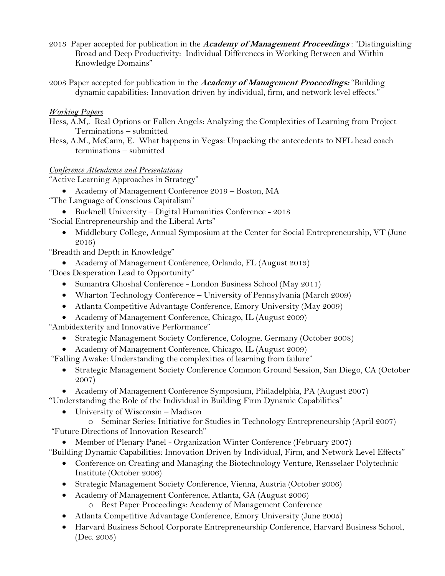- 2013 Paper accepted for publication in the **Academy of Management Proceedings** : "Distinguishing Broad and Deep Productivity: Individual Differences in Working Between and Within Knowledge Domains"
- 2008 Paper accepted for publication in the **Academy of Management Proceedings:** "Building dynamic capabilities: Innovation driven by individual, firm, and network level effects."

# *Working Papers*

- Hess, A.M,. Real Options or Fallen Angels: Analyzing the Complexities of Learning from Project Terminations – submitted
- Hess, A.M., McCann, E. What happens in Vegas: Unpacking the antecedents to NFL head coach terminations – submitted

# *Conference Attendance and Presentations*

"Active Learning Approaches in Strategy"

- Academy of Management Conference 2019 Boston, MA
- "The Language of Conscious Capitalism"
	- Bucknell University Digital Humanities Conference 2018
- "Social Entrepreneurship and the Liberal Arts"
	- Middlebury College, Annual Symposium at the Center for Social Entrepreneurship, VT (June 2016)

"Breadth and Depth in Knowledge"

- Academy of Management Conference, Orlando, FL (August 2013)
- "Does Desperation Lead to Opportunity"
	- Sumantra Ghoshal Conference London Business School (May 2011)
	- Wharton Technology Conference University of Pennsylvania (March 2009)
	- Atlanta Competitive Advantage Conference, Emory University (May 2009)
	- Academy of Management Conference, Chicago, IL (August 2009)

"Ambidexterity and Innovative Performance"

- Strategic Management Society Conference, Cologne, Germany (October 2008)
- Academy of Management Conference, Chicago, IL (August 2009)
- "Falling Awake: Understanding the complexities of learning from failure"
	- Strategic Management Society Conference Common Ground Session, San Diego, CA (October 2007)
- Academy of Management Conference Symposium, Philadelphia, PA (August 2007) **"**Understanding the Role of the Individual in Building Firm Dynamic Capabilities"
	- University of Wisconsin Madison
		- o Seminar Series: Initiative for Studies in Technology Entrepreneurship (April 2007)
- "Future Directions of Innovation Research"
- Member of Plenary Panel Organization Winter Conference (February 2007)
- "Building Dynamic Capabilities: Innovation Driven by Individual, Firm, and Network Level Effects"
	- Conference on Creating and Managing the Biotechnology Venture, Rensselaer Polytechnic Institute (October 2006)
	- Strategic Management Society Conference, Vienna, Austria (October 2006)
	- Academy of Management Conference, Atlanta, GA (August 2006)
		- o Best Paper Proceedings: Academy of Management Conference
	- Atlanta Competitive Advantage Conference, Emory University (June 2005)
	- Harvard Business School Corporate Entrepreneurship Conference, Harvard Business School, (Dec. 2005)